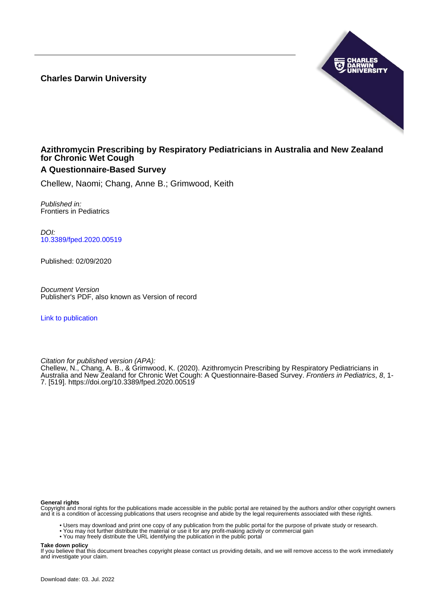**Charles Darwin University**



# **Azithromycin Prescribing by Respiratory Pediatricians in Australia and New Zealand for Chronic Wet Cough**

## **A Questionnaire-Based Survey**

Chellew, Naomi; Chang, Anne B.; Grimwood, Keith

Published in: Frontiers in Pediatrics

DOI: [10.3389/fped.2020.00519](https://doi.org/10.3389/fped.2020.00519)

Published: 02/09/2020

Document Version Publisher's PDF, also known as Version of record

[Link to publication](https://researchers.cdu.edu.au/en/publications/1ba3b8cd-bedb-4b1c-8363-bd6908b677c3)

Citation for published version (APA):

Chellew, N., Chang, A. B., & Grimwood, K. (2020). Azithromycin Prescribing by Respiratory Pediatricians in Australia and New Zealand for Chronic Wet Cough: A Questionnaire-Based Survey. Frontiers in Pediatrics, 8, 1-7. [519]. <https://doi.org/10.3389/fped.2020.00519>

#### **General rights**

Copyright and moral rights for the publications made accessible in the public portal are retained by the authors and/or other copyright owners and it is a condition of accessing publications that users recognise and abide by the legal requirements associated with these rights.

- Users may download and print one copy of any publication from the public portal for the purpose of private study or research.
- You may not further distribute the material or use it for any profit-making activity or commercial gain
- You may freely distribute the URL identifying the publication in the public portal

#### **Take down policy**

If you believe that this document breaches copyright please contact us providing details, and we will remove access to the work immediately and investigate your claim.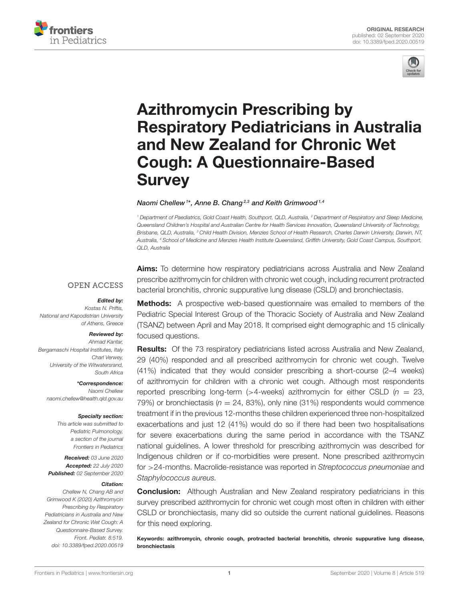



# Azithromycin Prescribing by [Respiratory Pediatricians in Australia](https://www.frontiersin.org/articles/10.3389/fped.2020.00519/full) and New Zealand for Chronic Wet Cough: A Questionnaire-Based **Survey**

## Naomi Chellew<sup>1\*</sup>, Anne B. Chang<sup>2,3</sup> and Keith Grimwood<sup>1,4</sup>

*<sup>1</sup> Department of Paediatrics, Gold Coast Health, Southport, QLD, Australia, <sup>2</sup> Department of Respiratory and Sleep Medicine, Queensland Children's Hospital and Australian Centre for Health Services Innovation, Queensland University of Technology, Brisbane, QLD, Australia, <sup>3</sup> Child Health Division, Menzies School of Health Research, Charles Darwin University, Darwin, NT, Australia, <sup>4</sup> School of Medicine and Menzies Health Institute Queensland, Griffith University, Gold Coast Campus, Southport, QLD, Australia*

**OPEN ACCESS** 

## Edited by:

*Kostas N. Priftis, National and Kapodistrian University of Athens, Greece*

## Reviewed by:

*Ahmad Kantar, Bergamaschi Hospital Institutes, Italy Charl Verwey, University of the Witwatersrand, South Africa*

\*Correspondence: *Naomi Chellew [naomi.chellew@health.qld.gov.au](mailto:naomi.chellew@health.qld.gov.au)*

### Specialty section:

*This article was submitted to Pediatric Pulmonology, a section of the journal Frontiers in Pediatrics*

Received: *03 June 2020* Accepted: *22 July 2020* Published: *02 September 2020*

#### Citation:

*Chellew N, Chang AB and Grimwood K (2020) Azithromycin Prescribing by Respiratory Pediatricians in Australia and New Zealand for Chronic Wet Cough: A Questionnaire-Based Survey. Front. Pediatr. 8:519. doi: [10.3389/fped.2020.00519](https://doi.org/10.3389/fped.2020.00519)* Aims: To determine how respiratory pediatricians across Australia and New Zealand prescribe azithromycin for children with chronic wet cough, including recurrent protracted bacterial bronchitis, chronic suppurative lung disease (CSLD) and bronchiectasis.

**Methods:** A prospective web-based questionnaire was emailed to members of the Pediatric Special Interest Group of the Thoracic Society of Australia and New Zealand (TSANZ) between April and May 2018. It comprised eight demographic and 15 clinically focused questions.

Results: Of the 73 respiratory pediatricians listed across Australia and New Zealand, 29 (40%) responded and all prescribed azithromycin for chronic wet cough. Twelve (41%) indicated that they would consider prescribing a short-course (2–4 weeks) of azithromycin for children with a chronic wet cough. Although most respondents reported prescribing long-term (>4-weeks) azithromycin for either CSLD (*n* = 23, 79%) or bronchiectasis ( $n = 24$ , 83%), only nine (31%) respondents would commence treatment if in the previous 12-months these children experienced three non-hospitalized exacerbations and just 12 (41%) would do so if there had been two hospitalisations for severe exacerbations during the same period in accordance with the TSANZ national guidelines. A lower threshold for prescribing azithromycin was described for Indigenous children or if co-morbidities were present. None prescribed azithromycin for >24-months. Macrolide-resistance was reported in *Streptococcus pneumoniae* and *Staphylococcus aureus.*

**Conclusion:** Although Australian and New Zealand respiratory pediatricians in this survey prescribed azithromycin for chronic wet cough most often in children with either CSLD or bronchiectasis, many did so outside the current national guidelines. Reasons for this need exploring.

Keywords: azithromycin, chronic cough, protracted bacterial bronchitis, chronic suppurative lung disease, bronchiectasis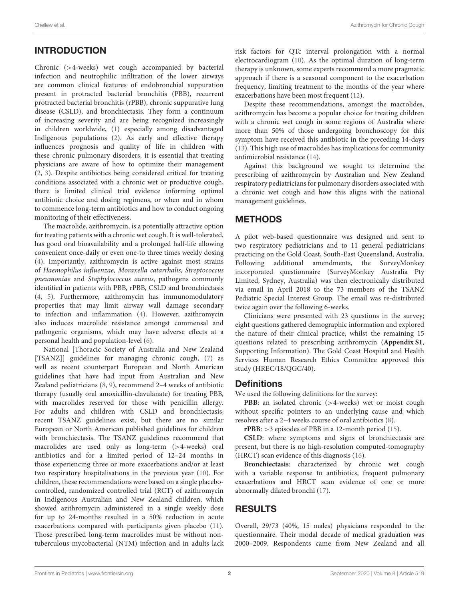# INTRODUCTION

Chronic (>4-weeks) wet cough accompanied by bacterial infection and neutrophilic infiltration of the lower airways are common clinical features of endobronchial suppuration present in protracted bacterial bronchitis (PBB), recurrent protracted bacterial bronchitis (rPBB), chronic suppurative lung disease (CSLD), and bronchiectasis. They form a continuum of increasing severity and are being recognized increasingly in children worldwide, [\(1\)](#page-6-0) especially among disadvantaged Indigenous populations [\(2\)](#page-6-1). As early and effective therapy influences prognosis and quality of life in children with these chronic pulmonary disorders, it is essential that treating physicians are aware of how to optimize their management [\(2,](#page-6-1) [3\)](#page-6-2). Despite antibiotics being considered critical for treating conditions associated with a chronic wet or productive cough, there is limited clinical trial evidence informing optimal antibiotic choice and dosing regimens, or when and in whom to commence long-term antibiotics and how to conduct ongoing monitoring of their effectiveness.

The macrolide, azithromycin, is a potentially attractive option for treating patients with a chronic wet cough. It is well-tolerated, has good oral bioavailability and a prolonged half-life allowing convenient once-daily or even one-to three times weekly dosing [\(4\)](#page-6-3). Importantly, azithromycin is active against most strains of Haemophilus influenzae, Moraxella catarrhalis, Streptococcus pneumoniae and Staphylococcus aureus, pathogens commonly identified in patients with PBB, rPBB, CSLD and bronchiectasis [\(4,](#page-6-3) [5\)](#page-6-4). Furthermore, azithromycin has immunomodulatory properties that may limit airway wall damage secondary to infection and inflammation [\(4\)](#page-6-3). However, azithromycin also induces macrolide resistance amongst commensal and pathogenic organisms, which may have adverse effects at a personal health and population-level [\(6\)](#page-6-5).

National [Thoracic Society of Australia and New Zealand [TSANZ]] guidelines for managing chronic cough, [\(7\)](#page-6-6) as well as recent counterpart European and North American guidelines that have had input from Australian and New Zealand pediatricians [\(8,](#page-6-7) [9\)](#page-6-8), recommend 2–4 weeks of antibiotic therapy (usually oral amoxicillin-clavulanate) for treating PBB, with macrolides reserved for those with penicillin allergy. For adults and children with CSLD and bronchiectasis, recent TSANZ guidelines exist, but there are no similar European or North American published guidelines for children with bronchiectasis. The TSANZ guidelines recommend that macrolides are used only as long-term (>4-weeks) oral antibiotics and for a limited period of 12–24 months in those experiencing three or more exacerbations and/or at least two respiratory hospitalisations in the previous year [\(10\)](#page-6-9). For children, these recommendations were based on a single placebocontrolled, randomized controlled trial (RCT) of azithromycin in Indigenous Australian and New Zealand children, which showed azithromycin administered in a single weekly dose for up to 24-months resulted in a 50% reduction in acute exacerbations compared with participants given placebo [\(11\)](#page-6-10). Those prescribed long-term macrolides must be without nontuberculous mycobacterial (NTM) infection and in adults lack risk factors for QTc interval prolongation with a normal electrocardiogram [\(10\)](#page-6-9). As the optimal duration of long-term therapy is unknown, some experts recommend a more pragmatic approach if there is a seasonal component to the exacerbation frequency, limiting treatment to the months of the year where exacerbations have been most frequent [\(12\)](#page-7-0).

Despite these recommendations, amongst the macrolides, azithromycin has become a popular choice for treating children with a chronic wet cough in some regions of Australia where more than 50% of those undergoing bronchoscopy for this symptom have received this antibiotic in the preceding 14-days [\(13\)](#page-7-1). This high use of macrolides has implications for community antimicrobial resistance [\(14\)](#page-7-2).

Against this background we sought to determine the prescribing of azithromycin by Australian and New Zealand respiratory pediatricians for pulmonary disorders associated with a chronic wet cough and how this aligns with the national management guidelines.

## **METHODS**

A pilot web-based questionnaire was designed and sent to two respiratory pediatricians and to 11 general pediatricians practicing on the Gold Coast, South-East Queensland, Australia. Following additional amendments, the SurveyMonkey incorporated questionnaire (SurveyMonkey Australia Pty Limited, Sydney, Australia) was then electronically distributed via email in April 2018 to the 73 members of the TSANZ Pediatric Special Interest Group. The email was re-distributed twice again over the following 6-weeks.

Clinicians were presented with 23 questions in the survey; eight questions gathered demographic information and explored the nature of their clinical practice, whilst the remaining 15 questions related to prescribing azithromycin (**[Appendix S1](#page-6-11)**, Supporting Information). The Gold Coast Hospital and Health Services Human Research Ethics Committee approved this study (HREC/18/QGC/40).

## **Definitions**

We used the following definitions for the survey:

PBB: an isolated chronic (>4-weeks) wet or moist cough without specific pointers to an underlying cause and which resolves after a 2–4 weeks course of oral antibiotics [\(8\)](#page-6-7).

**rPBB**: >3 episodes of PBB in a 12-month period [\(15\)](#page-7-3).

**CSLD**: where symptoms and signs of bronchiectasis are present, but there is no high-resolution computed-tomography (HRCT) scan evidence of this diagnosis [\(16\)](#page-7-4).

**Bronchiectasis**: characterized by chronic wet cough with a variable response to antibiotics, frequent pulmonary exacerbations and HRCT scan evidence of one or more abnormally dilated bronchi [\(17\)](#page-7-5).

## RESULTS

Overall, 29/73 (40%, 15 males) physicians responded to the questionnaire. Their modal decade of medical graduation was 2000–2009. Respondents came from New Zealand and all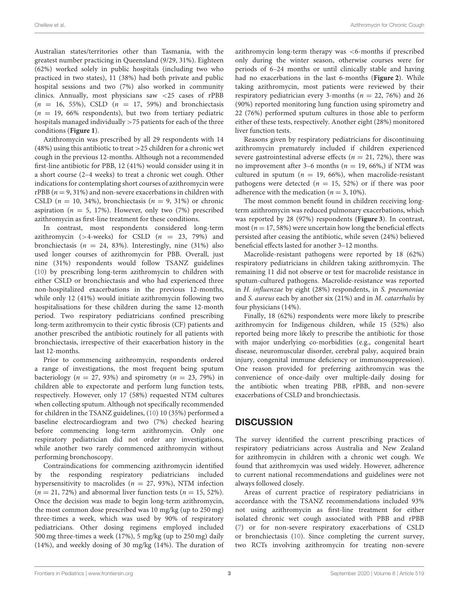Australian states/territories other than Tasmania, with the greatest number practicing in Queensland (9/29, 31%). Eighteen (62%) worked solely in public hospitals (including two who practiced in two states), 11 (38%) had both private and public hospital sessions and two (7%) also worked in community clinics. Annually, most physicians saw <25 cases of rPBB  $(n = 16, 55\%)$ , CSLD  $(n = 17, 59\%)$  and bronchiectasis  $(n = 19, 66\%$  respondents), but two from tertiary pediatric hospitals managed individually >75 patients for each of the three conditions (**[Figure 1](#page-4-0)**).

Azithromycin was prescribed by all 29 respondents with 14 (48%) using this antibiotic to treat >25 children for a chronic wet cough in the previous 12-months. Although not a recommended first-line antibiotic for PBB, 12 (41%) would consider using it in a short course (2–4 weeks) to treat a chronic wet cough. Other indications for contemplating short courses of azithromycin were rPBB  $(n = 9, 31\%)$  and non-severe exacerbations in children with CSLD ( $n = 10, 34\%$ ), bronchiectasis ( $n = 9, 31\%$ ) or chronic aspiration ( $n = 5$ , 17%). However, only two (7%) prescribed azithromycin as first-line treatment for these conditions.

In contrast, most respondents considered long-term azithromycin ( $>4$ -weeks) for CSLD ( $n = 23, 79\%$ ) and bronchiectasis ( $n = 24, 83\%$ ). Interestingly, nine (31%) also used longer courses of azithromycin for PBB. Overall, just nine (31%) respondents would follow TSANZ guidelines [\(10\)](#page-6-9) by prescribing long-term azithromycin to children with either CSLD or bronchiectasis and who had experienced three non-hospitalized exacerbations in the previous 12-months, while only 12 (41%) would initiate azithromycin following two hospitalisations for these children during the same 12-month period. Two respiratory pediatricians confined prescribing long-term azithromycin to their cystic fibrosis (CF) patients and another prescribed the antibiotic routinely for all patients with bronchiectasis, irrespective of their exacerbation history in the last 12-months.

Prior to commencing azithromycin, respondents ordered a range of investigations, the most frequent being sputum bacteriology ( $n = 27, 93\%$ ) and spirometry ( $n = 23, 79\%$ ) in children able to expectorate and perform lung function tests, respectively. However, only 17 (58%) requested NTM cultures when collecting sputum. Although not specifically recommended for children in the TSANZ guidelines, [\(10\)](#page-6-9) 10 (35%) performed a baseline electrocardiogram and two (7%) checked hearing before commencing long-term azithromycin. Only one respiratory pediatrician did not order any investigations, while another two rarely commenced azithromycin without performing bronchoscopy.

Contraindications for commencing azithromycin identified by the responding respiratory pediatricians included hypersensitivity to macrolides ( $n = 27, 93\%$ ), NTM infection  $(n = 21, 72\%)$  and abnormal liver function tests  $(n = 15, 52\%).$ Once the decision was made to begin long-term azithromycin, the most common dose prescribed was 10 mg/kg (up to 250 mg) three-times a week, which was used by 90% of respiratory pediatricians. Other dosing regimens employed included 500 mg three-times a week (17%), 5 mg/kg (up to 250 mg) daily (14%), and weekly dosing of 30 mg/kg (14%). The duration of azithromycin long-term therapy was <6-months if prescribed only during the winter season, otherwise courses were for periods of 6–24 months or until clinically stable and having had no exacerbations in the last 6-months (**[Figure 2](#page-4-1)**). While taking azithromycin, most patients were reviewed by their respiratory pediatrician every 3-months ( $n = 22, 76\%$ ) and 26 (90%) reported monitoring lung function using spirometry and 22 (76%) performed sputum cultures in those able to perform either of these tests, respectively. Another eight (28%) monitored liver function tests.

Reasons given by respiratory pediatricians for discontinuing azithromycin prematurely included if children experienced severe gastrointestinal adverse effects ( $n = 21, 72\%$ ), there was no improvement after 3–6 months ( $n = 19, 66\%$ ) if NTM was cultured in sputum ( $n = 19, 66\%$ ), when macrolide-resistant pathogens were detected ( $n = 15, 52\%$ ) or if there was poor adherence with the medication ( $n = 3$ , 10%).

The most common benefit found in children receiving longterm azithromycin was reduced pulmonary exacerbations, which was reported by 28 (97%) respondents (**[Figure 3](#page-5-0)**). In contrast, most ( $n = 17,58\%$ ) were uncertain how long the beneficial effects persisted after ceasing the antibiotic, while seven (24%) believed beneficial effects lasted for another 3–12 months.

Macrolide-resistant pathogens were reported by 18 (62%) respiratory pediatricians in children taking azithromycin. The remaining 11 did not observe or test for macrolide resistance in sputum-cultured pathogens. Macrolide-resistance was reported in H. influenzae by eight (28%) respondents, in S. pneumoniae and S. aureus each by another six (21%) and in M. catarrhalis by four physicians (14%).

Finally, 18 (62%) respondents were more likely to prescribe azithromycin for Indigenous children, while 15 (52%) also reported being more likely to prescribe the antibiotic for those with major underlying co-morbidities (e.g., congenital heart disease, neuromuscular disorder, cerebral palsy, acquired brain injury, congenital immune deficiency or immunosuppression). One reason provided for preferring azithromycin was the convenience of once-daily over multiple-daily dosing for the antibiotic when treating PBB, rPBB, and non-severe exacerbations of CSLD and bronchiectasis.

# **DISCUSSION**

The survey identified the current prescribing practices of respiratory pediatricians across Australia and New Zealand for azithromycin in children with a chronic wet cough. We found that azithromycin was used widely. However, adherence to current national recommendations and guidelines were not always followed closely.

Areas of current practice of respiratory pediatricians in accordance with the TSANZ recommendations included 93% not using azithromycin as first-line treatment for either isolated chronic wet cough associated with PBB and rPBB [\(7\)](#page-6-6) or for non-severe respiratory exacerbations of CSLD or bronchiectasis [\(10\)](#page-6-9). Since completing the current survey, two RCTs involving azithromycin for treating non-severe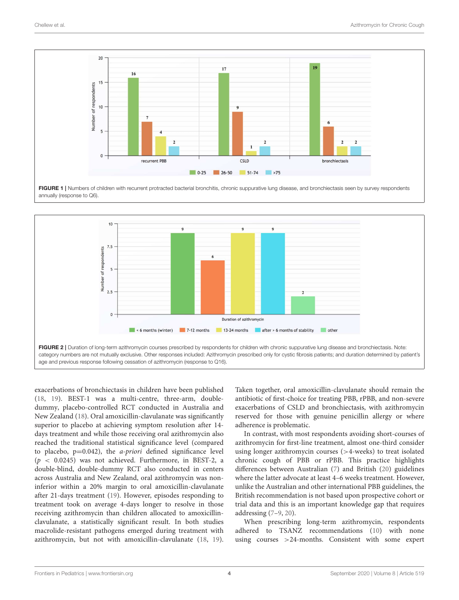

<span id="page-4-0"></span>FIGURE 1 | Numbers of children with recurrent protracted bacterial bronchitis, chronic suppurative lung disease, and bronchiectasis seen by survey respondents annually (response to Q6).



<span id="page-4-1"></span>exacerbations of bronchiectasis in children have been published [\(18,](#page-7-6) [19\)](#page-7-7). BEST-1 was a multi-centre, three-arm, doubledummy, placebo-controlled RCT conducted in Australia and New Zealand [\(18\)](#page-7-6). Oral amoxicillin-clavulanate was significantly superior to placebo at achieving symptom resolution after 14 days treatment and while those receiving oral azithromycin also reached the traditional statistical significance level (compared to placebo,  $p=0.042$ ), the *a-priori* defined significance level  $(p < 0.0245)$  was not achieved. Furthermore, in BEST-2, a double-blind, double-dummy RCT also conducted in centers across Australia and New Zealand, oral azithromycin was noninferior within a 20% margin to oral amoxicillin-clavulanate after 21-days treatment [\(19\)](#page-7-7). However, episodes responding to treatment took on average 4-days longer to resolve in those receiving azithromycin than children allocated to amoxicillinclavulanate, a statistically significant result. In both studies macrolide-resistant pathogens emerged during treatment with azithromycin, but not with amoxicillin-clavulanate [\(18,](#page-7-6) [19\)](#page-7-7). Taken together, oral amoxicillin-clavulanate should remain the antibiotic of first-choice for treating PBB, rPBB, and non-severe exacerbations of CSLD and bronchiectasis, with azithromycin reserved for those with genuine penicillin allergy or where adherence is problematic.

In contrast, with most respondents avoiding short-courses of azithromycin for first-line treatment, almost one-third consider using longer azithromycin courses (>4-weeks) to treat isolated chronic cough of PBB or rPBB. This practice highlights differences between Australian [\(7\)](#page-6-6) and British [\(20\)](#page-7-8) guidelines where the latter advocate at least 4–6 weeks treatment. However, unlike the Australian and other international PBB guidelines, the British recommendation is not based upon prospective cohort or trial data and this is an important knowledge gap that requires addressing [\(7–](#page-6-6)[9,](#page-6-8) [20\)](#page-7-8).

When prescribing long-term azithromycin, respondents adhered to TSANZ recommendations [\(10\)](#page-6-9) with none using courses >24-months. Consistent with some expert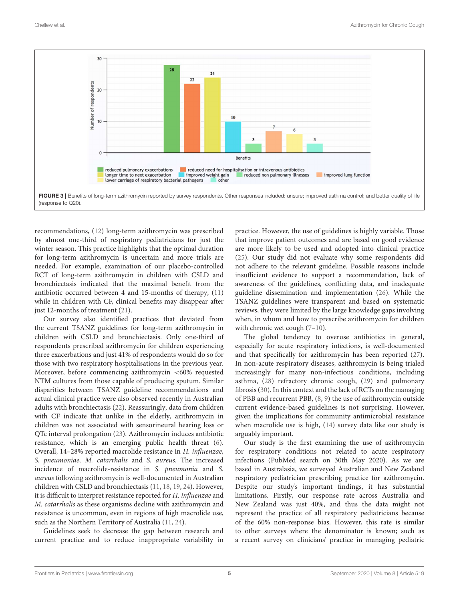

<span id="page-5-0"></span>recommendations, [\(12\)](#page-7-0) long-term azithromycin was prescribed by almost one-third of respiratory pediatricians for just the winter season. This practice highlights that the optimal duration for long-term azithromycin is uncertain and more trials are needed. For example, examination of our placebo-controlled RCT of long-term azithromycin in children with CSLD and bronchiectasis indicated that the maximal benefit from the antibiotic occurred between 4 and 15-months of therapy, [\(11\)](#page-6-10) while in children with CF, clinical benefits may disappear after just 12-months of treatment [\(21\)](#page-7-9).

Our survey also identified practices that deviated from the current TSANZ guidelines for long-term azithromycin in children with CSLD and bronchiectasis. Only one-third of respondents prescribed azithromycin for children experiencing three exacerbations and just 41% of respondents would do so for those with two respiratory hospitalisations in the previous year. Moreover, before commencing azithromycin <60% requested NTM cultures from those capable of producing sputum. Similar disparities between TSANZ guideline recommendations and actual clinical practice were also observed recently in Australian adults with bronchiectasis [\(22\)](#page-7-10). Reassuringly, data from children with CF indicate that unlike in the elderly, azithromycin in children was not associated with sensorineural hearing loss or QTc interval prolongation [\(23\)](#page-7-11). Azithromycin induces antibiotic resistance, which is an emerging public health threat [\(6\)](#page-6-5). Overall, 14–28% reported macrolide resistance in H. influenzae, S. pneumoniae, M. catarrhalis and S. aureus. The increased incidence of macrolide-resistance in S. pneumonia and S. aureus following azithromycin is well-documented in Australian children with CSLD and bronchiectasis [\(11,](#page-6-10) [18,](#page-7-6) [19,](#page-7-7) [24\)](#page-7-12). However, it is difficult to interpret resistance reported for H. influenzae and M. catarrhalis as these organisms decline with azithromycin and resistance is uncommon, even in regions of high macrolide use, such as the Northern Territory of Australia [\(11,](#page-6-10) [24\)](#page-7-12).

Guidelines seek to decrease the gap between research and current practice and to reduce inappropriate variability in practice. However, the use of guidelines is highly variable. Those that improve patient outcomes and are based on good evidence are more likely to be used and adopted into clinical practice [\(25\)](#page-7-13). Our study did not evaluate why some respondents did not adhere to the relevant guideline. Possible reasons include insufficient evidence to support a recommendation, lack of awareness of the guidelines, conflicting data, and inadequate guideline dissemination and implementation [\(26\)](#page-7-14). While the TSANZ guidelines were transparent and based on systematic reviews, they were limited by the large knowledge gaps involving when, in whom and how to prescribe azithromycin for children with chronic wet cough [\(7](#page-6-6)[–10\)](#page-6-9).

The global tendency to overuse antibiotics in general, especially for acute respiratory infections, is well-documented and that specifically for azithromycin has been reported [\(27\)](#page-7-15). In non-acute respiratory diseases, azithromycin is being trialed increasingly for many non-infectious conditions, including asthma, [\(28\)](#page-7-16) refractory chronic cough, [\(29\)](#page-7-17) and pulmonary fibrosis [\(30\)](#page-7-18). In this context and the lack of RCTs on the managing of PBB and recurrent PBB, [\(8,](#page-6-7) [9\)](#page-6-8) the use of azithromycin outside current evidence-based guidelines is not surprising. However, given the implications for community antimicrobial resistance when macrolide use is high, [\(14\)](#page-7-2) survey data like our study is arguably important.

Our study is the first examining the use of azithromycin for respiratory conditions not related to acute respiratory infections (PubMed search on 30th May 2020). As we are based in Australasia, we surveyed Australian and New Zealand respiratory pediatrician prescribing practice for azithromycin. Despite our study's important findings, it has substantial limitations. Firstly, our response rate across Australia and New Zealand was just 40%, and thus the data might not represent the practice of all respiratory pediatricians because of the 60% non-response bias. However, this rate is similar to other surveys where the denominator is known; such as a recent survey on clinicians' practice in managing pediatric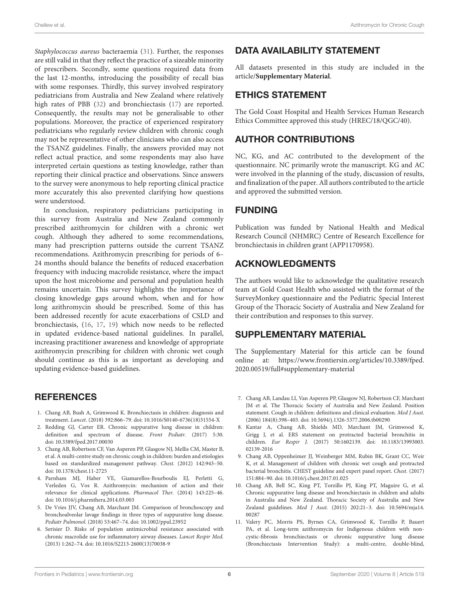Staphylococcus aureus bacteraemia [\(31\)](#page-7-19). Further, the responses are still valid in that they reflect the practice of a sizeable minority of prescribers. Secondly, some questions required data from the last 12-months, introducing the possibility of recall bias with some responses. Thirdly, this survey involved respiratory pediatricians from Australia and New Zealand where relatively high rates of PBB [\(32\)](#page-7-20) and bronchiectasis [\(17\)](#page-7-5) are reported. Consequently, the results may not be generalisable to other populations. Moreover, the practice of experienced respiratory pediatricians who regularly review children with chronic cough may not be representative of other clinicians who can also access the TSANZ guidelines. Finally, the answers provided may not reflect actual practice, and some respondents may also have interpreted certain questions as testing knowledge, rather than reporting their clinical practice and observations. Since answers to the survey were anonymous to help reporting clinical practice more accurately this also prevented clarifying how questions were understood.

In conclusion, respiratory pediatricians participating in this survey from Australia and New Zealand commonly prescribed azithromycin for children with a chronic wet cough. Although they adhered to some recommendations, many had prescription patterns outside the current TSANZ recommendations. Azithromycin prescribing for periods of 6– 24 months should balance the benefits of reduced exacerbation frequency with inducing macrolide resistance, where the impact upon the host microbiome and personal and population health remains uncertain. This survey highlights the importance of closing knowledge gaps around whom, when and for how long azithromycin should be prescribed. Some of this has been addressed recently for acute exacerbations of CSLD and bronchiectasis, [\(16,](#page-7-4) [17,](#page-7-5) [19\)](#page-7-7) which now needs to be reflected in updated evidence-based national guidelines. In parallel, increasing practitioner awareness and knowledge of appropriate azithromycin prescribing for children with chronic wet cough should continue as this is as important as developing and updating evidence-based guidelines.

## **REFERENCES**

- <span id="page-6-0"></span>1. Chang AB, Bush A, Grimwood K. Bronchiectasis in children: diagnosis and treatment. Lancet. (2018) 392:866–79. doi: [10.1016/S0140-6736\(18\)31554-X](https://doi.org/10.1016/S0140-6736(18)31554-X)
- <span id="page-6-1"></span>2. Redding GJ, Carter ER. Chronic suppurative lung disease in children: definition and spectrum of disease. Front Pediatr. (2017) 5:30. doi: [10.3389/fped.2017.00030](https://doi.org/10.3389/fped.2017.00030)
- <span id="page-6-2"></span>3. Chang AB, Robertson CF, Van Asperen PP, Glasgow NJ, Mellis CM, Master B, et al. A multi-centre study on chronic cough in children: burden and etiologies based on standardized management pathway. Chest. (2012) 142:943–50. doi: [10.1378/chest.11-2725](https://doi.org/10.1378/chest.11-2725)
- <span id="page-6-3"></span>4. Parnham MJ, Haber VE, Giamarellos-Bourboulis EJ, Perletti G, Verleden G, Vos R. Azithromycin: mechanism of action and their relevance for clinical applications. Pharmacol Ther. (2014) 143:225–46. doi: [10.1016/j.pharmthera.2014.03.003](https://doi.org/10.1016/j.pharmthera.2014.03.003)
- <span id="page-6-4"></span>5. De Vries JJV, Chang AB, Marchant JM. Comparison of bronchoscopy and bronchoalveolar lavage findings in three types of suppurative lung disease. Pediatr Pulmonol. (2018) 53:467–74. doi: [10.1002/ppul.23952](https://doi.org/10.1002/ppul.23952)
- <span id="page-6-5"></span>6. Serisier D. Risks of population antimicrobial resistance associated with chronic macrolide use for inflammatory airway diseases. Lancet Respir Med. (2013) 1:262–74. doi: [10.1016/S2213-2600\(13\)70038-9](https://doi.org/10.1016/S2213-2600(13)70038-9)

# DATA AVAILABILITY STATEMENT

All datasets presented in this study are included in the article/**[Supplementary Material](#page-6-11)**.

## ETHICS STATEMENT

The Gold Coast Hospital and Health Services Human Research Ethics Committee approved this study (HREC/18/QGC/40).

# AUTHOR CONTRIBUTIONS

NC, KG, and AC contributed to the development of the questionnaire. NC primarily wrote the manuscript. KG and AC were involved in the planning of the study, discussion of results, and finalization of the paper. All authors contributed to the article and approved the submitted version.

## FUNDING

Publication was funded by National Health and Medical Research Council (NHMRC) Centre of Research Excellence for bronchiectasis in children grant (APP1170958).

## ACKNOWLEDGMENTS

The authors would like to acknowledge the qualitative research team at Gold Coast Health who assisted with the format of the SurveyMonkey questionnaire and the Pediatric Special Interest Group of the Thoracic Society of Australia and New Zealand for their contribution and responses to this survey.

## SUPPLEMENTARY MATERIAL

<span id="page-6-11"></span>The Supplementary Material for this article can be found [online at: https://www.frontiersin.org/articles/10.3389/fped.](https://www.frontiersin.org/articles/10.3389/fped.2020.00519/full#supplementary-material) 2020.00519/full#supplementary-material

- <span id="page-6-6"></span>7. Chang AB, Landau LI, Van Asperen PP, Glasgow NJ, Robertson CF, Marchant JM et al. The Thoracic Society of Australia and New Zealand. Position statement. Cough in children: definitions and clinical evaluation. Med J Aust. (2006) 184(8):398–403. doi: [10.5694/j.1326-5377.2006.tb00290](https://doi.org/10.5694/j.1326-5377.2006.tb00290)
- <span id="page-6-7"></span>8. Kantar A, Chang AB, Shields MD, Marchant JM, Grimwood K, Grigg J, et al. ERS statement on protracted bacterial bronchitis in children. Eur Respir J. [\(2017\) 50:1602139. doi: 10.1183/13993003.](https://doi.org/10.1183/13993003.02139-2016) 02139-2016
- <span id="page-6-8"></span>9. Chang AB, Oppenheimer JJ, Weinberger MM, Rubin BK, Grant CC, Weir K, et al. Management of children with chronic wet cough and protracted bacterial bronchitis. CHEST guideline and expert panel report. Chest. (2017) 151:884–90. doi: [10.1016/j.chest.2017.01.025](https://doi.org/10.1016/j.chest.2017.01.025)
- <span id="page-6-9"></span>10. Chang AB, Bell SC, King PT, Torzillo PJ, King PT, Maguire G, et al. Chronic suppurative lung disease and bronchiectasis in children and adults in Australia and New Zealand. Thoracic Society of Australia and New Zealand guidelines. Med J Aust. [\(2015\) 202:21–3. doi: 10.5694/mja14.](https://doi.org/10.5694/mja14.00287) 00287
- <span id="page-6-10"></span>11. Valery PC, Morris PS, Byrnes CA, Grimwood K, Torzillo P, Bauert PA, et al. Long-term azithromycin for Indigenous children with noncystic-fibrosis bronchiectasis or chronic suppurative lung disease (Bronchiectasis Intervention Study): a multi-centre, double-blind,